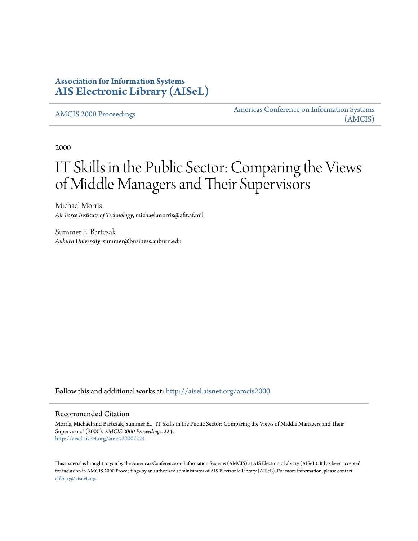## **Association for Information Systems [AIS Electronic Library \(AISeL\)](http://aisel.aisnet.org?utm_source=aisel.aisnet.org%2Famcis2000%2F224&utm_medium=PDF&utm_campaign=PDFCoverPages)**

[AMCIS 2000 Proceedings](http://aisel.aisnet.org/amcis2000?utm_source=aisel.aisnet.org%2Famcis2000%2F224&utm_medium=PDF&utm_campaign=PDFCoverPages)

[Americas Conference on Information Systems](http://aisel.aisnet.org/amcis?utm_source=aisel.aisnet.org%2Famcis2000%2F224&utm_medium=PDF&utm_campaign=PDFCoverPages) [\(AMCIS\)](http://aisel.aisnet.org/amcis?utm_source=aisel.aisnet.org%2Famcis2000%2F224&utm_medium=PDF&utm_campaign=PDFCoverPages)

2000

# IT Skills in the Public Sector: Comparing the Views of Middle Managers and Their Supervisors

Michael Morris *Air Force Institute of Technology*, michael.morris@afit.af.mil

Summer E. Bartczak *Auburn University*, summer@business.auburn.edu

Follow this and additional works at: [http://aisel.aisnet.org/amcis2000](http://aisel.aisnet.org/amcis2000?utm_source=aisel.aisnet.org%2Famcis2000%2F224&utm_medium=PDF&utm_campaign=PDFCoverPages)

#### Recommended Citation

Morris, Michael and Bartczak, Summer E., "IT Skills in the Public Sector: Comparing the Views of Middle Managers and Their Supervisors" (2000). *AMCIS 2000 Proceedings*. 224. [http://aisel.aisnet.org/amcis2000/224](http://aisel.aisnet.org/amcis2000/224?utm_source=aisel.aisnet.org%2Famcis2000%2F224&utm_medium=PDF&utm_campaign=PDFCoverPages)

This material is brought to you by the Americas Conference on Information Systems (AMCIS) at AIS Electronic Library (AISeL). It has been accepted for inclusion in AMCIS 2000 Proceedings by an authorized administrator of AIS Electronic Library (AISeL). For more information, please contact [elibrary@aisnet.org.](mailto:elibrary@aisnet.org%3E)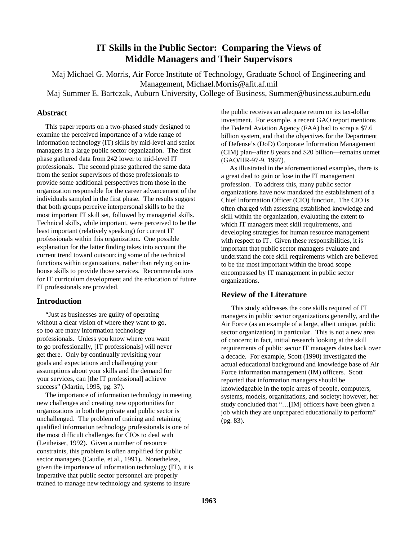### **IT Skills in the Public Sector: Comparing the Views of Middle Managers and Their Supervisors**

Maj Michael G. Morris, Air Force Institute of Technology, Graduate School of Engineering and Management, Michael.Morris@afit.af.mil

Maj Summer E. Bartczak, Auburn University, College of Business, Summer@business.auburn.edu

#### **Abstract**

 This paper reports on a two-phased study designed to examine the perceived importance of a wide range of information technology (IT) skills by mid-level and senior managers in a large public sector organization. The first phase gathered data from 242 lower to mid-level IT professionals. The second phase gathered the same data from the senior supervisors of those professionals to provide some additional perspectives from those in the organization responsible for the career advancement of the individuals sampled in the first phase. The results suggest that both groups perceive interpersonal skills to be the most important IT skill set, followed by managerial skills. Technical skills, while important, were perceived to be the least important (relatively speaking) for current IT professionals within this organization. One possible explanation for the latter finding takes into account the current trend toward outsourcing some of the technical functions within organizations, rather than relying on inhouse skills to provide those services. Recommendations for IT curriculum development and the education of future IT professionals are provided.

#### **Introduction**

 "Just as businesses are guilty of operating without a clear vision of where they want to go, so too are many information technology professionals. Unless you know where you want to go professionally, [IT professionals] will never get there. Only by continually revisiting your goals and expectations and challenging your assumptions about your skills and the demand for your services, can [the IT professional] achieve success" (Martin, 1995, pg. 37).

 The importance of information technology in meeting new challenges and creating new opportunities for organizations in both the private and public sector is unchallenged. The problem of training and retaining qualified information technology professionals is one of the most difficult challenges for CIOs to deal with (Leitheiser, 1992). Given a number of resource constraints, this problem is often amplified for public sector managers (Caudle, et al., 1991)**.** Nonetheless, given the importance of information technology (IT), it is imperative that public sector personnel are properly trained to manage new technology and systems to insure

the public receives an adequate return on its tax-dollar investment. For example, a recent GAO report mentions the Federal Aviation Agency (FAA) had to scrap a \$7.6 billion system, and that the objectives for the Department of Defense's (DoD) Corporate Information Management (CIM) plan--after 8 years and \$20 billion—remains unmet (GAO/HR-97-9, 1997).

 As illustrated in the aforementioned examples, there is a great deal to gain or lose in the IT management profession. To address this, many public sector organizations have now mandated the establishment of a Chief Information Officer (CIO) function. The CIO is often charged with assessing established knowledge and skill within the organization, evaluating the extent to which IT managers meet skill requirements, and developing strategies for human resource management with respect to IT. Given these responsibilities, it is important that public sector managers evaluate and understand the core skill requirements which are believed to be the most important within the broad scope encompassed by IT management in public sector organizations.

#### **Review of the Literature**

 This study addresses the core skills required of IT managers in public sector organizations generally, and the Air Force (as an example of a large, albeit unique, public sector organization) in particular. This is not a new area of concern; in fact, initial research looking at the skill requirements of public sector IT managers dates back over a decade. For example, Scott (1990) investigated the actual educational background and knowledge base of Air Force information management (IM) officers. Scott reported that information managers should be knowledgeable in the topic areas of people, computers, systems, models, organizations, and society; however, her study concluded that "…[IM] officers have been given a job which they are unprepared educationally to perform" (pg. 83).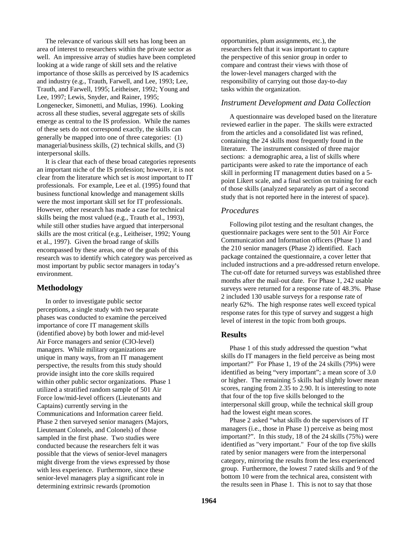The relevance of various skill sets has long been an area of interest to researchers within the private sector as well. An impressive array of studies have been completed looking at a wide range of skill sets and the relative importance of those skills as perceived by IS academics and industry (e.g., Trauth, Farwell, and Lee, 1993; Lee, Trauth, and Farwell, 1995; Leitheiser, 1992; Young and Lee, 1997; Lewis, Snyder, and Rainer, 1995; Longenecker, Simonetti, and Mulias, 1996). Looking across all these studies, several aggregate sets of skills emerge as central to the IS profession. While the names of these sets do not correspond exactly, the skills can generally be mapped into one of three categories: (1) managerial/business skills, (2) technical skills, and (3) interpersonal skills.

 It is clear that each of these broad categories represents an important niche of the IS profession; however, it is not clear from the literature which set is *most* important to IT professionals. For example, Lee et al. (1995) found that business functional knowledge and management skills were the most important skill set for IT professionals. However, other research has made a case for technical skills being the most valued (e.g., Trauth et al., 1993), while still other studies have argued that interpersonal skills are the most critical (e.g., Leitheiser, 1992; Young et al., 1997). Given the broad range of skills encompassed by these areas, one of the goals of this research was to identify which category was perceived as most important by public sector managers in today's environment.

#### **Methodology**

 In order to investigate public sector perceptions, a single study with two separate phases was conducted to examine the perceived importance of core IT management skills (identified above) by both lower and mid-level Air Force managers and senior (CIO-level) managers. While military organizations are unique in many ways, from an IT management perspective, the results from this study should provide insight into the core skills required within other public sector organizations. Phase 1 utilized a stratified random sample of 501 Air Force low/mid-level officers (Lieutenants and Captains) currently serving in the Communications and Information career field. Phase 2 then surveyed senior managers (Majors, Lieutenant Colonels, and Colonels) of those sampled in the first phase. Two studies were conducted because the researchers felt it was possible that the views of senior-level managers might diverge from the views expressed by those with less experience. Furthermore, since these senior-level managers play a significant role in determining extrinsic rewards (promotion

opportunities, plum assignments, etc.), the researchers felt that it was important to capture the perspective of this senior group in order to compare and contrast their views with those of the lower-level managers charged with the responsibility of carrying out those day-to-day tasks within the organization.

#### *Instrument Development and Data Collection*

 A questionnaire was developed based on the literature reviewed earlier in the paper. The skills were extracted from the articles and a consolidated list was refined, containing the 24 skills most frequently found in the literature. The instrument consisted of three major sections: a demographic area, a list of skills where participants were asked to rate the importance of each skill in performing IT management duties based on a 5 point Likert scale, and a final section on training for each of those skills (analyzed separately as part of a second study that is not reported here in the interest of space).

#### *Procedures*

 Following pilot testing and the resultant changes, the questionnaire packages were sent to the 501 Air Force Communication and Information officers (Phase 1) and the 210 senior managers (Phase 2) identified. Each package contained the questionnaire, a cover letter that included instructions and a pre-addressed return envelope. The cut-off date for returned surveys was established three months after the mail-out date. For Phase 1, 242 usable surveys were returned for a response rate of 48.3%. Phase 2 included 130 usable surveys for a response rate of nearly 62%. The high response rates well exceed typical response rates for this type of survey and suggest a high level of interest in the topic from both groups.

#### **Results**

 Phase 1 of this study addressed the question "what skills do IT managers in the field perceive as being most important?" For Phase 1, 19 of the 24 skills (79%) were identified as being "very important"; a mean score of 3.0 or higher. The remaining 5 skills had slightly lower mean scores, ranging from 2.35 to 2.90. It is interesting to note that four of the top five skills belonged to the interpersonal skill group, while the technical skill group had the lowest eight mean scores.

 Phase 2 asked "what skills do the supervisors of IT managers (i.e., those in Phase 1) perceive as being most important?". In this study, 18 of the 24 skills (75%) were identified as "very important." Four of the top five skills rated by senior managers were from the interpersonal category, mirroring the results from the less experienced group. Furthermore, the lowest 7 rated skills and 9 of the bottom 10 were from the technical area, consistent with the results seen in Phase 1. This is not to say that those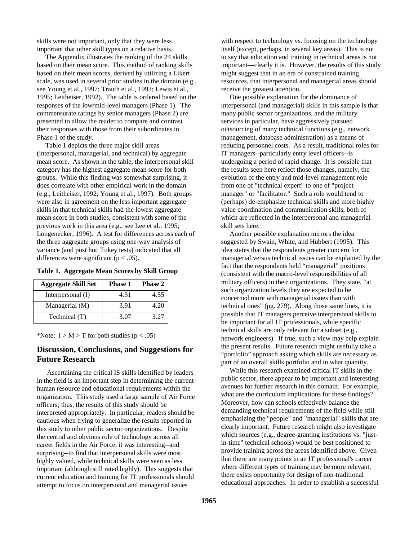skills were not important, only that they were less important that other skill types on a relative basis.

 The Appendix illustrates the ranking of the 24 skills based on their mean score. This method of ranking skills based on their mean scores, derived by utilizing a Likert scale, was used in several prior studies in the domain (e.g., see Young et al., 1997; Trauth et al., 1993; Lewis et al., 1995; Leitheiser, 1992). The table is ordered based on the responses of the low/mid-level managers (Phase 1). The commensurate ratings by senior managers (Phase 2) are presented to allow the reader to compare and contrast their responses with those from their subordinates in Phase 1 of the study.

 Table 1 depicts the three major skill areas (interpersonal, managerial, and technical) by aggregate mean score. As shown in the table, the interpersonal skill category has the highest aggregate mean score for both groups. While this finding was somewhat surprising, it does correlate with other empirical work in the domain (e.g., Leitheiser, 1992; Young et al., 1997). Both groups were also in agreement on the less important aggregate skills in that technical skills had the lowest aggregate mean score in both studies, consistent with some of the previous work in this area (e.g., see Lee et al.; 1995; Longenecker, 1996). A test for differences across each of the three aggregate groups using one-way analysis of variance (and post hoc Tukey tests) indicated that all differences were significant ( $p < .05$ ).

**Table 1. Aggregate Mean Scores by Skill Group**

| <b>Aggregate Skill Set</b> | <b>Phase 1</b> | <b>Phase 2</b> |
|----------------------------|----------------|----------------|
| Interpersonal (I)          | 4.31           | 4.55           |
| Managerial (M)             | 3.91           | 4.20           |
| Technical (T)              | 3.07           | 3.27           |

\*Note:  $I > M > T$  for both studies ( $p < .05$ )

#### **Discussion, Conclusions, and Suggestions for Future Research**

 Ascertaining the critical IS skills identified by leaders in the field is an important step in determining the current human resource and educational requirements within the organization. This study used a large sample of Air Force officers; thus, the results of this study should be interpreted appropriately. In particular, readers should be cautious when trying to generalize the results reported in this study to other public sector organizations. Despite the central and obvious role of technology across all career fields in the Air Force, it was interesting--and surprising--to find that interpersonal skills were most highly valued, while technical skills were seen as less important (although still rated highly). This suggests that current education and training for IT professionals should attempt to focus on interpersonal and managerial issues

with respect to technology vs. focusing on the technology itself (except, perhaps, in several key areas). This is not to say that education and training in technical areas is not important—clearly it is. However, the results of this study might suggest that in an era of constrained training resources, that interpersonal and managerial areas should receive the greatest attention.

 One possible explanation for the dominance of interpersonal (and managerial) skills in this sample is that many public sector organizations, and the military services in particular, have aggressively pursued outsourcing of many technical functions (e.g., network management, database administration) as a means of reducing personnel costs. As a result, traditional roles for IT managers--particularly entry level officers--is undergoing a period of rapid change. It is possible that the results seen here reflect those changes, namely, the evolution of the entry and mid-level management role from one of "technical expert" to one of "project manager" or "facilitator." Such a role would tend to (perhaps) de-emphasize technical skills and more highly value coordination and communication skills, both of which are reflected in the interpersonal and managerial skill sets here.

 Another possible explanation mirrors the idea suggested by Swain, White, and Hubbert (1995). This idea states that the respondents greater concern for managerial versus technical issues can be explained by the fact that the respondents held "managerial" positions (consistent with the macro-level responsibilities of all military officers) in their organizations. They state, "at such organization levels they are expected to be concerned more with managerial issues than with technical ones" (pg. 279). Along those same lines, it is possible that IT managers perceive interpersonal skills to be important for all IT professionals, while specific technical skills are only relevant for a subset (e.g., network engineers). If true, such a view may help explain the present results. Future research might usefully take a "portfolio" approach asking which skills are necessary as part of an overall skills portfolio and in what quantity.

 While this research examined critical IT skills in the public sector, there appear to be important and interesting avenues for further research in this domain. For example, what are the curriculum implications for these findings? Moreover, how can schools effectively balance the demanding technical requirements of the field while still emphasizing the "people" and "managerial" skills that are clearly important. Future research might also investigate which sources (e.g., degree-granting institutions vs. "justin-time" technical schools) would be best positioned to provide training across the areas identified above. Given that there are many points in an IT professional's career where different types of training may be more relevant, there exists opportunity for design of non-traditional educational approaches. In order to establish a successful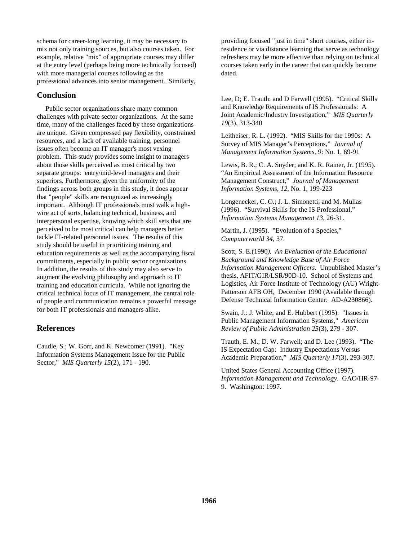schema for career-long learning, it may be necessary to mix not only training sources, but also courses taken. For example, relative "mix" of appropriate courses may differ at the entry level (perhaps being more technically focused) with more managerial courses following as the professional advances into senior management. Similarly,

#### **Conclusion**

 Public sector organizations share many common challenges with private sector organizations. At the same time, many of the challenges faced by these organizations are unique. Given compressed pay flexibility, constrained resources, and a lack of available training, personnel issues often become an IT manager's most vexing problem. This study provides some insight to managers about those skills perceived as most critical by two separate groups: entry/mid-level managers and their superiors. Furthermore, given the uniformity of the findings across both groups in this study, it does appear that "people" skills are recognized as increasingly important. Although IT professionals must walk a highwire act of sorts, balancing technical, business, and interpersonal expertise, knowing which skill sets that are perceived to be most critical can help managers better tackle IT-related personnel issues. The results of this study should be useful in prioritizing training and education requirements as well as the accompanying fiscal commitments, especially in public sector organizations. In addition, the results of this study may also serve to augment the evolving philosophy and approach to IT training and education curricula. While not ignoring the critical technical focus of IT management, the central role of people and communication remains a powerful message for both IT professionals and managers alike.

#### **References**

Caudle, S.; W. Gorr, and K. Newcomer (1991). "Key Information Systems Management Issue for the Public Sector," *MIS Quarterly 15*(2), 171 - 190.

providing focused "just in time" short courses, either inresidence or via distance learning that serve as technology refreshers may be more effective than relying on technical courses taken early in the career that can quickly become dated.

Lee, D; E. Trauth: and D Farwell (1995). "Critical Skills and Knowledge Requirements of IS Professionals: A Joint Academic/Industry Investigation," *MIS Quarterly 19*(3), 313-340

Leitheiser, R. L. (1992). "MIS Skills for the 1990s: A Survey of MIS Manager's Perceptions," *Journal of Management Information Systems, 9*: No. 1, 69-91

Lewis, B. R.; C. A. Snyder; and K. R. Rainer, Jr. (1995). "An Empirical Assessment of the Information Resource Management Construct," *Journal of Management Information Systems, 12,* No. 1, 199-223

Longenecker, C. O.; J. L. Simonetti; and M. Mulias (1996). "Survival Skills for the IS Professional," *Information Systems Management 13*, 26-31.

Martin, J. (1995). "Evolution of a Species," *Computerworld 34*, 37.

Scott, S. E.(1990*). An Evaluation of the Educational Background and Knowledge Base of Air Force Information Management Officers.* Unpublished Master's thesis, AFIT/GIR/LSR/90D-10. School of Systems and Logistics, Air Force Institute of Technology (AU) Wright-Patterson AFB OH, December 1990 (Available through Defense Technical Information Center: AD-A230866).

Swain, J.: J. White; and E. Hubbert (1995). "Issues in Public Management Information Systems," *American Review of Public Administration 25*(3), 279 - 307.

Trauth, E. M.; D. W. Farwell; and D. Lee (1993). "The IS Expectation Gap: Industry Expectations Versus Academic Preparation," *MIS Quarterly 17*(3), 293-307.

United States General Accounting Office (1997). *Information Management and Technology*. GAO/HR-97- 9. Washington: 1997.